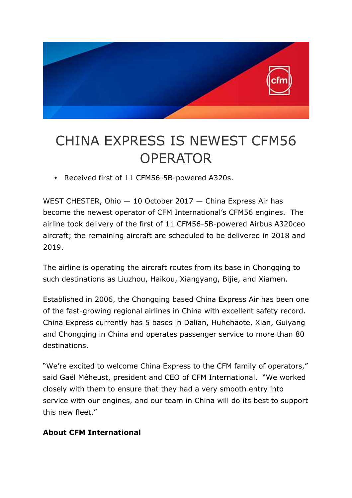

## CHINA EXPRESS IS NEWEST CFM56 **OPERATOR**

• Received first of 11 CFM56-5B-powered A320s.

WEST CHESTER, Ohio — 10 October 2017 — China Express Air has become the newest operator of CFM International's CFM56 engines. The airline took delivery of the first of 11 CFM56-5B-powered Airbus A320ceo aircraft; the remaining aircraft are scheduled to be delivered in 2018 and 2019.

The airline is operating the aircraft routes from its base in Chongqing to such destinations as Liuzhou, Haikou, Xiangyang, Bijie, and Xiamen.

Established in 2006, the Chongqing based China Express Air has been one of the fast-growing regional airlines in China with excellent safety record. China Express currently has 5 bases in Dalian, Huhehaote, Xian, Guiyang and Chongqing in China and operates passenger service to more than 80 destinations.

"We're excited to welcome China Express to the CFM family of operators," said Gaël Méheust, president and CEO of CFM International. "We worked closely with them to ensure that they had a very smooth entry into service with our engines, and our team in China will do its best to support this new fleet."

## **About CFM International**